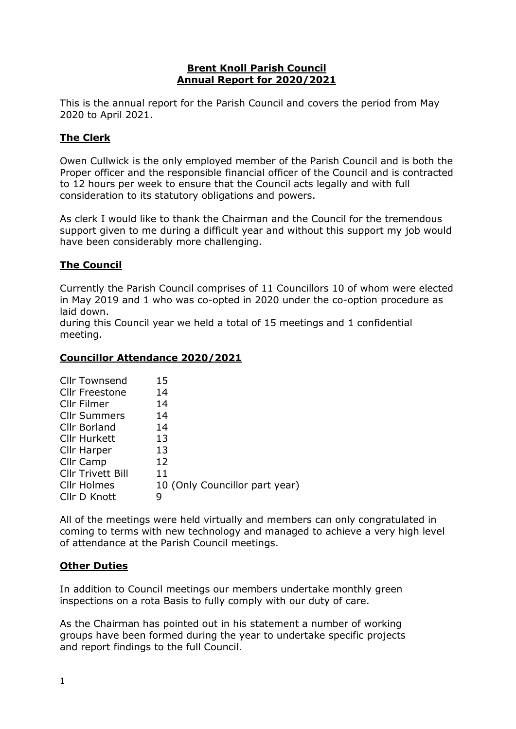#### Brent Knoll Parish Council Annual Report for 2020/2021

This is the annual report for the Parish Council and covers the period from May 2020 to April 2021.

## The Clerk

Owen Cullwick is the only employed member of the Parish Council and is both the Proper officer and the responsible financial officer of the Council and is contracted to 12 hours per week to ensure that the Council acts legally and with full consideration to its statutory obligations and powers.

As clerk I would like to thank the Chairman and the Council for the tremendous support given to me during a difficult year and without this support my job would have been considerably more challenging.

# The Council

Currently the Parish Council comprises of 11 Councillors 10 of whom were elected in May 2019 and 1 who was co-opted in 2020 under the co-option procedure as laid down.

during this Council year we held a total of 15 meetings and 1 confidential meeting.

#### Councillor Attendance 2020/2021

| <b>Cllr Townsend</b>     | 15                             |
|--------------------------|--------------------------------|
| <b>Cllr Freestone</b>    | 14                             |
| Cllr Filmer              | 14                             |
| <b>Cllr Summers</b>      | 14                             |
| Cllr Borland             | 14                             |
| <b>Cllr Hurkett</b>      | 13                             |
| Cllr Harper              | 13                             |
| Cllr Camp                | 12                             |
| <b>Cllr Trivett Bill</b> | 11                             |
| <b>Cllr Holmes</b>       | 10 (Only Councillor part year) |
| Cllr D Knott             | g                              |

All of the meetings were held virtually and members can only congratulated in coming to terms with new technology and managed to achieve a very high level of attendance at the Parish Council meetings.

## Other Duties

In addition to Council meetings our members undertake monthly green inspections on a rota Basis to fully comply with our duty of care.

As the Chairman has pointed out in his statement a number of working groups have been formed during the year to undertake specific projects and report findings to the full Council.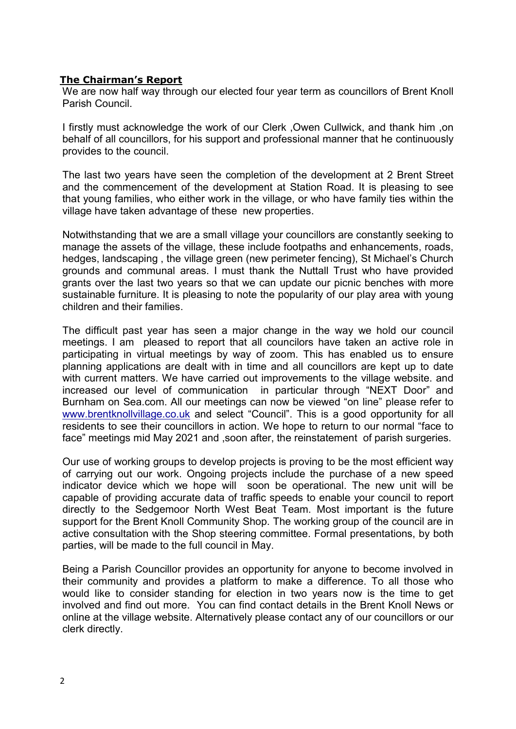## The Chairman's Report

We are now half way through our elected four year term as councillors of Brent Knoll Parish Council.

I firstly must acknowledge the work of our Clerk ,Owen Cullwick, and thank him ,on behalf of all councillors, for his support and professional manner that he continuously provides to the council.

The last two years have seen the completion of the development at 2 Brent Street and the commencement of the development at Station Road. It is pleasing to see that young families, who either work in the village, or who have family ties within the village have taken advantage of these new properties.

Notwithstanding that we are a small village your councillors are constantly seeking to manage the assets of the village, these include footpaths and enhancements, roads, hedges, landscaping , the village green (new perimeter fencing), St Michael's Church grounds and communal areas. I must thank the Nuttall Trust who have provided grants over the last two years so that we can update our picnic benches with more sustainable furniture. It is pleasing to note the popularity of our play area with young children and their families.

The difficult past year has seen a major change in the way we hold our council meetings. I am pleased to report that all councilors have taken an active role in participating in virtual meetings by way of zoom. This has enabled us to ensure planning applications are dealt with in time and all councillors are kept up to date with current matters. We have carried out improvements to the village website. and increased our level of communication in particular through "NEXT Door" and Burnham on Sea.com. All our meetings can now be viewed "on line" please refer to www.brentknollvillage.co.uk and select "Council". This is a good opportunity for all residents to see their councillors in action. We hope to return to our normal "face to face" meetings mid May 2021 and ,soon after, the reinstatement of parish surgeries.

Our use of working groups to develop projects is proving to be the most efficient way of carrying out our work. Ongoing projects include the purchase of a new speed indicator device which we hope will soon be operational. The new unit will be capable of providing accurate data of traffic speeds to enable your council to report directly to the Sedgemoor North West Beat Team. Most important is the future support for the Brent Knoll Community Shop. The working group of the council are in active consultation with the Shop steering committee. Formal presentations, by both parties, will be made to the full council in May.

Being a Parish Councillor provides an opportunity for anyone to become involved in their community and provides a platform to make a difference. To all those who would like to consider standing for election in two years now is the time to get involved and find out more. You can find contact details in the Brent Knoll News or online at the village website. Alternatively please contact any of our councillors or our clerk directly.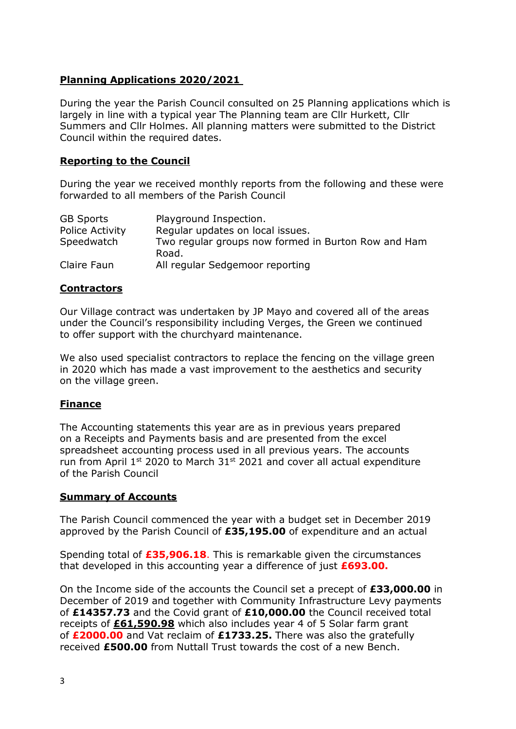# Planning Applications 2020/2021

During the year the Parish Council consulted on 25 Planning applications which is largely in line with a typical year The Planning team are Cllr Hurkett, Cllr Summers and Cllr Holmes. All planning matters were submitted to the District Council within the required dates.

## Reporting to the Council

During the year we received monthly reports from the following and these were forwarded to all members of the Parish Council

| <b>GB Sports</b>       | Playground Inspection.                                       |
|------------------------|--------------------------------------------------------------|
| <b>Police Activity</b> | Regular updates on local issues.                             |
| Speedwatch             | Two regular groups now formed in Burton Row and Ham<br>Road. |
| Claire Faun            | All regular Sedgemoor reporting                              |

## **Contractors**

Our Village contract was undertaken by JP Mayo and covered all of the areas under the Council's responsibility including Verges, the Green we continued to offer support with the churchyard maintenance.

We also used specialist contractors to replace the fencing on the village green in 2020 which has made a vast improvement to the aesthetics and security on the village green.

## Finance

The Accounting statements this year are as in previous years prepared on a Receipts and Payments basis and are presented from the excel spreadsheet accounting process used in all previous years. The accounts run from April  $1^{st}$  2020 to March  $31^{st}$  2021 and cover all actual expenditure of the Parish Council

#### Summary of Accounts

The Parish Council commenced the year with a budget set in December 2019 approved by the Parish Council of £35,195.00 of expenditure and an actual

Spending total of £35,906.18. This is remarkable given the circumstances that developed in this accounting year a difference of just  $£693.00$ .

On the Income side of the accounts the Council set a precept of £33,000.00 in December of 2019 and together with Community Infrastructure Levy payments of £14357.73 and the Covid grant of £10,000.00 the Council received total receipts of £61,590.98 which also includes year 4 of 5 Solar farm grant of £2000.00 and Vat reclaim of £1733.25. There was also the gratefully received £500.00 from Nuttall Trust towards the cost of a new Bench.